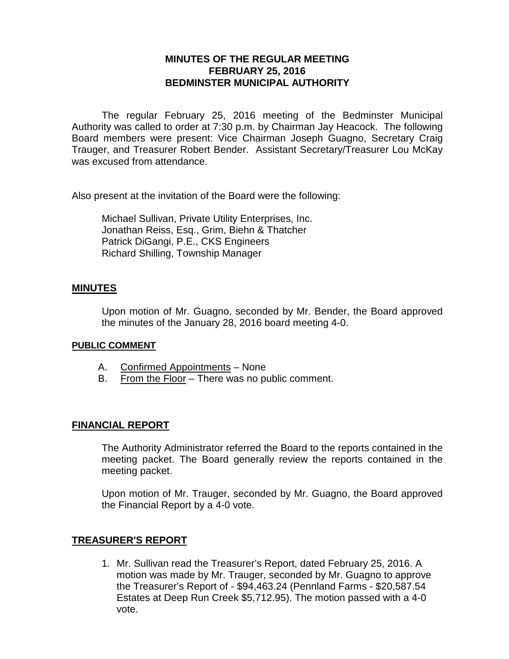# **MINUTES OF THE REGULAR MEETING FEBRUARY 25, 2016 BEDMINSTER MUNICIPAL AUTHORITY**

The regular February 25, 2016 meeting of the Bedminster Municipal Authority was called to order at 7:30 p.m. by Chairman Jay Heacock. The following Board members were present: Vice Chairman Joseph Guagno, Secretary Craig Trauger, and Treasurer Robert Bender. Assistant Secretary/Treasurer Lou McKay was excused from attendance.

Also present at the invitation of the Board were the following:

Michael Sullivan, Private Utility Enterprises, Inc. Jonathan Reiss, Esq., Grim, Biehn & Thatcher Patrick DiGangi, P.E., CKS Engineers Richard Shilling, Township Manager

### **MINUTES**

Upon motion of Mr. Guagno, seconded by Mr. Bender, the Board approved the minutes of the January 28, 2016 board meeting 4-0.

#### **PUBLIC COMMENT**

- A. Confirmed Appointments None
- B. From the Floor There was no public comment.

## **FINANCIAL REPORT**

The Authority Administrator referred the Board to the reports contained in the meeting packet. The Board generally review the reports contained in the meeting packet.

Upon motion of Mr. Trauger, seconded by Mr. Guagno, the Board approved the Financial Report by a 4-0 vote.

## **TREASURER'S REPORT**

1. Mr. Sullivan read the Treasurer's Report, dated February 25, 2016. A motion was made by Mr. Trauger, seconded by Mr. Guagno to approve the Treasurer's Report of - \$94,463.24 (Pennland Farms - \$20,587.54 Estates at Deep Run Creek \$5,712.95). The motion passed with a 4-0 vote.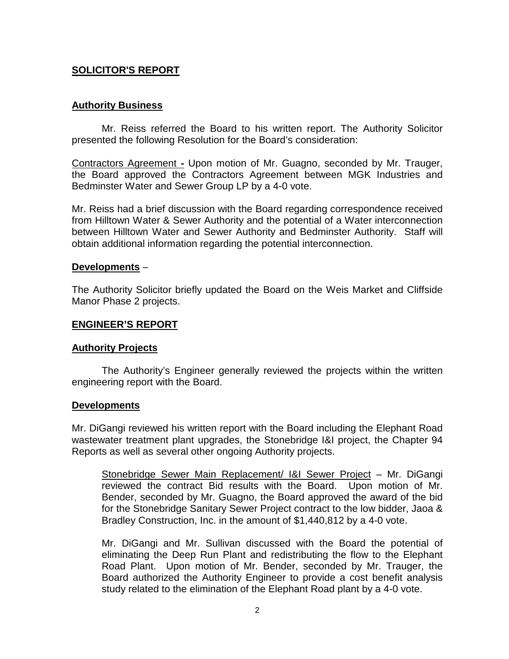## **SOLICITOR'S REPORT**

### **Authority Business**

Mr. Reiss referred the Board to his written report. The Authority Solicitor presented the following Resolution for the Board's consideration:

Contractors Agreement **-** Upon motion of Mr. Guagno, seconded by Mr. Trauger, the Board approved the Contractors Agreement between MGK Industries and Bedminster Water and Sewer Group LP by a 4-0 vote.

Mr. Reiss had a brief discussion with the Board regarding correspondence received from Hilltown Water & Sewer Authority and the potential of a Water interconnection between Hilltown Water and Sewer Authority and Bedminster Authority. Staff will obtain additional information regarding the potential interconnection.

#### **Developments** –

The Authority Solicitor briefly updated the Board on the Weis Market and Cliffside Manor Phase 2 projects.

### **ENGINEER'S REPORT**

#### **Authority Projects**

The Authority's Engineer generally reviewed the projects within the written engineering report with the Board.

#### **Developments**

Mr. DiGangi reviewed his written report with the Board including the Elephant Road wastewater treatment plant upgrades, the Stonebridge I&I project, the Chapter 94 Reports as well as several other ongoing Authority projects.

Stonebridge Sewer Main Replacement/ I&I Sewer Project – Mr. DiGangi reviewed the contract Bid results with the Board. Upon motion of Mr. Bender, seconded by Mr. Guagno, the Board approved the award of the bid for the Stonebridge Sanitary Sewer Project contract to the low bidder, Jaoa & Bradley Construction, Inc. in the amount of \$1,440,812 by a 4-0 vote.

Mr. DiGangi and Mr. Sullivan discussed with the Board the potential of eliminating the Deep Run Plant and redistributing the flow to the Elephant Road Plant. Upon motion of Mr. Bender, seconded by Mr. Trauger, the Board authorized the Authority Engineer to provide a cost benefit analysis study related to the elimination of the Elephant Road plant by a 4-0 vote.